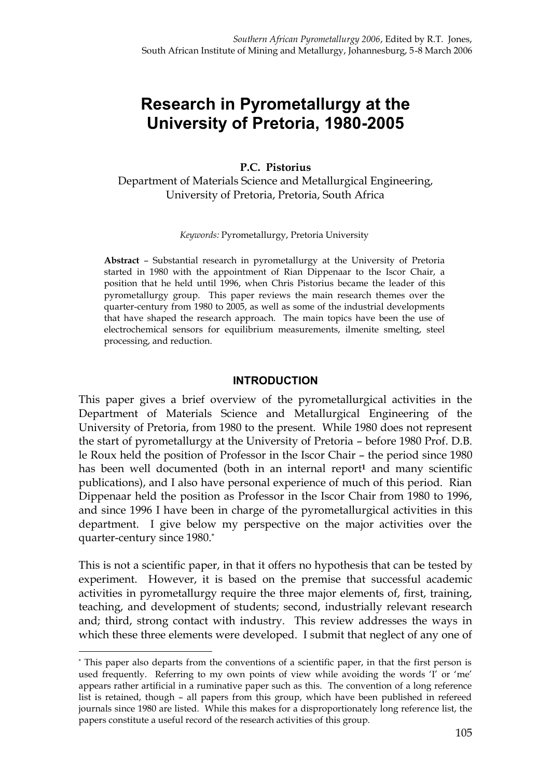# **Research in Pyrometallurgy at the University of Pretoria, 1980-2005**

**P.C. Pistorius**

Department of Materials Science and Metallurgical Engineering, University of Pretoria, Pretoria, South Africa

*Keywords:* Pyrometallurgy, Pretoria University

**Abstract** – Substantial research in pyrometallurgy at the University of Pretoria started in 1980 with the appointment of Rian Dippenaar to the Iscor Chair, a position that he held until 1996, when Chris Pistorius became the leader of this pyrometallurgy group. This paper reviews the main research themes over the quarter-century from 1980 to 2005, as well as some of the industrial developments that have shaped the research approach. The main topics have been the use of electrochemical sensors for equilibrium measurements, ilmenite smelting, steel processing, and reduction.

#### **INTRODUCTION**

This paper gives a brief overview of the pyrometallurgical activities in the Department of Materials Science and Metallurgical Engineering of the University of Pretoria, from 1980 to the present. While 1980 does not represent the start of pyrometallurgy at the University of Pretoria – before 1980 Prof. D.B. le Roux held the position of Professor in the Iscor Chair – the period since 1980 has been well documented (both in an internal report**<sup>1</sup>** and many scientific publications), and I also have personal experience of much of this period. Rian Dippenaar held the position as Professor in the Iscor Chair from 1980 to 1996, and since 1996 I have been in charge of the pyrometallurgical activities in this department. I give below my perspective on the major activities over the quarter-century since 1980.\*

This is not a scientific paper, in that it offers no hypothesis that can be tested by experiment. However, it is based on the premise that successful academic activities in pyrometallurgy require the three major elements of, first, training, teaching, and development of students; second, industrially relevant research and; third, strong contact with industry. This review addresses the ways in which these three elements were developed. I submit that neglect of any one of

 $\overline{a}$ 

<sup>\*</sup> This paper also departs from the conventions of a scientific paper, in that the first person is used frequently. Referring to my own points of view while avoiding the words 'I' or 'me' appears rather artificial in a ruminative paper such as this. The convention of a long reference list is retained, though – all papers from this group, which have been published in refereed journals since 1980 are listed. While this makes for a disproportionately long reference list, the papers constitute a useful record of the research activities of this group.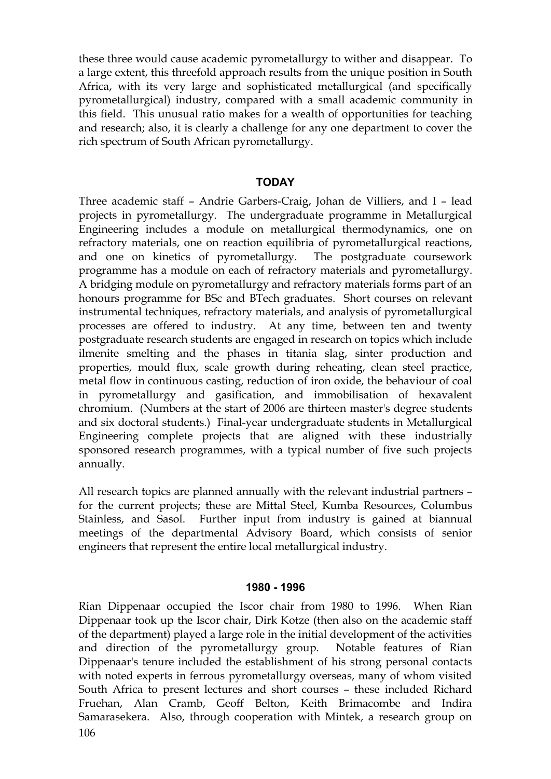these three would cause academic pyrometallurgy to wither and disappear. To a large extent, this threefold approach results from the unique position in South Africa, with its very large and sophisticated metallurgical (and specifically pyrometallurgical) industry, compared with a small academic community in this field. This unusual ratio makes for a wealth of opportunities for teaching and research; also, it is clearly a challenge for any one department to cover the rich spectrum of South African pyrometallurgy.

## **TODAY**

Three academic staff – Andrie Garbers-Craig, Johan de Villiers, and I – lead projects in pyrometallurgy. The undergraduate programme in Metallurgical Engineering includes a module on metallurgical thermodynamics, one on refractory materials, one on reaction equilibria of pyrometallurgical reactions, and one on kinetics of pyrometallurgy. The postgraduate coursework programme has a module on each of refractory materials and pyrometallurgy. A bridging module on pyrometallurgy and refractory materials forms part of an honours programme for BSc and BTech graduates. Short courses on relevant instrumental techniques, refractory materials, and analysis of pyrometallurgical processes are offered to industry. At any time, between ten and twenty postgraduate research students are engaged in research on topics which include ilmenite smelting and the phases in titania slag, sinter production and properties, mould flux, scale growth during reheating, clean steel practice, metal flow in continuous casting, reduction of iron oxide, the behaviour of coal in pyrometallurgy and gasification, and immobilisation of hexavalent chromium. (Numbers at the start of 2006 are thirteen master's degree students and six doctoral students.) Final-year undergraduate students in Metallurgical Engineering complete projects that are aligned with these industrially sponsored research programmes, with a typical number of five such projects annually.

All research topics are planned annually with the relevant industrial partners – for the current projects; these are Mittal Steel, Kumba Resources, Columbus Stainless, and Sasol. Further input from industry is gained at biannual meetings of the departmental Advisory Board, which consists of senior engineers that represent the entire local metallurgical industry.

#### **1980 - 1996**

106 Rian Dippenaar occupied the Iscor chair from 1980 to 1996. When Rian Dippenaar took up the Iscor chair, Dirk Kotze (then also on the academic staff of the department) played a large role in the initial development of the activities and direction of the pyrometallurgy group. Notable features of Rian Dippenaar's tenure included the establishment of his strong personal contacts with noted experts in ferrous pyrometallurgy overseas, many of whom visited South Africa to present lectures and short courses – these included Richard Fruehan, Alan Cramb, Geoff Belton, Keith Brimacombe and Indira Samarasekera. Also, through cooperation with Mintek, a research group on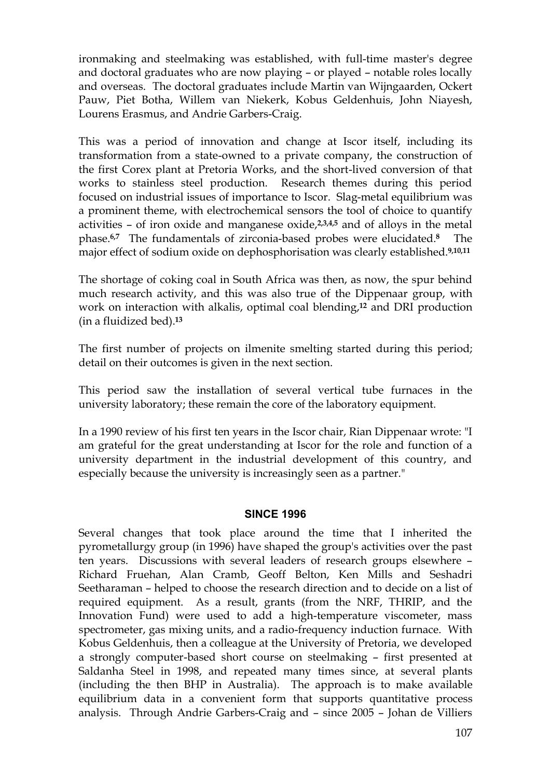ironmaking and steelmaking was established, with full-time master's degree and doctoral graduates who are now playing – or played – notable roles locally and overseas. The doctoral graduates include Martin van Wijngaarden, Ockert Pauw, Piet Botha, Willem van Niekerk, Kobus Geldenhuis, John Niayesh, Lourens Erasmus, and Andrie Garbers-Craig.

This was a period of innovation and change at Iscor itself, including its transformation from a state-owned to a private company, the construction of the first Corex plant at Pretoria Works, and the short-lived conversion of that works to stainless steel production. Research themes during this period focused on industrial issues of importance to Iscor. Slag-metal equilibrium was a prominent theme, with electrochemical sensors the tool of choice to quantify activities – of iron oxide and manganese oxide,**2,3,4,5** and of alloys in the metal phase.**6,7** The fundamentals of zirconia-based probes were elucidated.**8** The major effect of sodium oxide on dephosphorisation was clearly established.**9,10,11**

The shortage of coking coal in South Africa was then, as now, the spur behind much research activity, and this was also true of the Dippenaar group, with work on interaction with alkalis, optimal coal blending,**<sup>12</sup>** and DRI production (in a fluidized bed).**<sup>13</sup>**

The first number of projects on ilmenite smelting started during this period; detail on their outcomes is given in the next section.

This period saw the installation of several vertical tube furnaces in the university laboratory; these remain the core of the laboratory equipment.

In a 1990 review of his first ten years in the Iscor chair, Rian Dippenaar wrote: "I am grateful for the great understanding at Iscor for the role and function of a university department in the industrial development of this country, and especially because the university is increasingly seen as a partner."

## **SINCE 1996**

Several changes that took place around the time that I inherited the pyrometallurgy group (in 1996) have shaped the group's activities over the past ten years. Discussions with several leaders of research groups elsewhere – Richard Fruehan, Alan Cramb, Geoff Belton, Ken Mills and Seshadri Seetharaman – helped to choose the research direction and to decide on a list of required equipment. As a result, grants (from the NRF, THRIP, and the Innovation Fund) were used to add a high-temperature viscometer, mass spectrometer, gas mixing units, and a radio-frequency induction furnace. With Kobus Geldenhuis, then a colleague at the University of Pretoria, we developed a strongly computer-based short course on steelmaking – first presented at Saldanha Steel in 1998, and repeated many times since, at several plants (including the then BHP in Australia). The approach is to make available equilibrium data in a convenient form that supports quantitative process analysis. Through Andrie Garbers-Craig and – since 2005 – Johan de Villiers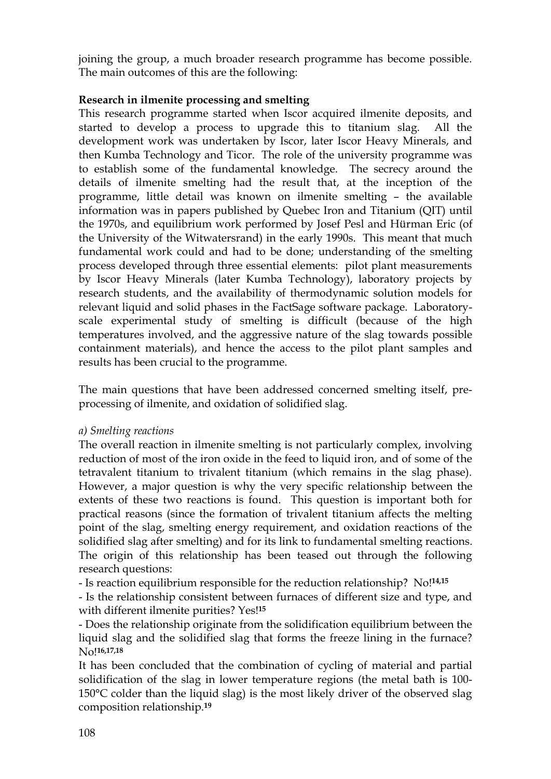joining the group, a much broader research programme has become possible. The main outcomes of this are the following:

# **Research in ilmenite processing and smelting**

This research programme started when Iscor acquired ilmenite deposits, and started to develop a process to upgrade this to titanium slag. All the development work was undertaken by Iscor, later Iscor Heavy Minerals, and then Kumba Technology and Ticor. The role of the university programme was to establish some of the fundamental knowledge. The secrecy around the details of ilmenite smelting had the result that, at the inception of the programme, little detail was known on ilmenite smelting – the available information was in papers published by Quebec Iron and Titanium (QIT) until the 1970s, and equilibrium work performed by Josef Pesl and Hürman Eric (of the University of the Witwatersrand) in the early 1990s. This meant that much fundamental work could and had to be done; understanding of the smelting process developed through three essential elements: pilot plant measurements by Iscor Heavy Minerals (later Kumba Technology), laboratory projects by research students, and the availability of thermodynamic solution models for relevant liquid and solid phases in the FactSage software package. Laboratoryscale experimental study of smelting is difficult (because of the high temperatures involved, and the aggressive nature of the slag towards possible containment materials), and hence the access to the pilot plant samples and results has been crucial to the programme.

The main questions that have been addressed concerned smelting itself, preprocessing of ilmenite, and oxidation of solidified slag.

*a) Smelting reactions*

The overall reaction in ilmenite smelting is not particularly complex, involving reduction of most of the iron oxide in the feed to liquid iron, and of some of the tetravalent titanium to trivalent titanium (which remains in the slag phase). However, a major question is why the very specific relationship between the extents of these two reactions is found. This question is important both for practical reasons (since the formation of trivalent titanium affects the melting point of the slag, smelting energy requirement, and oxidation reactions of the solidified slag after smelting) and for its link to fundamental smelting reactions. The origin of this relationship has been teased out through the following research questions:

- Is reaction equilibrium responsible for the reduction relationship? No!**14,15**

- Is the relationship consistent between furnaces of different size and type, and with different ilmenite purities? Yes!**<sup>15</sup>**

- Does the relationship originate from the solidification equilibrium between the liquid slag and the solidified slag that forms the freeze lining in the furnace? No!**16,17,18**

It has been concluded that the combination of cycling of material and partial solidification of the slag in lower temperature regions (the metal bath is 100- 150°C colder than the liquid slag) is the most likely driver of the observed slag composition relationship.**19**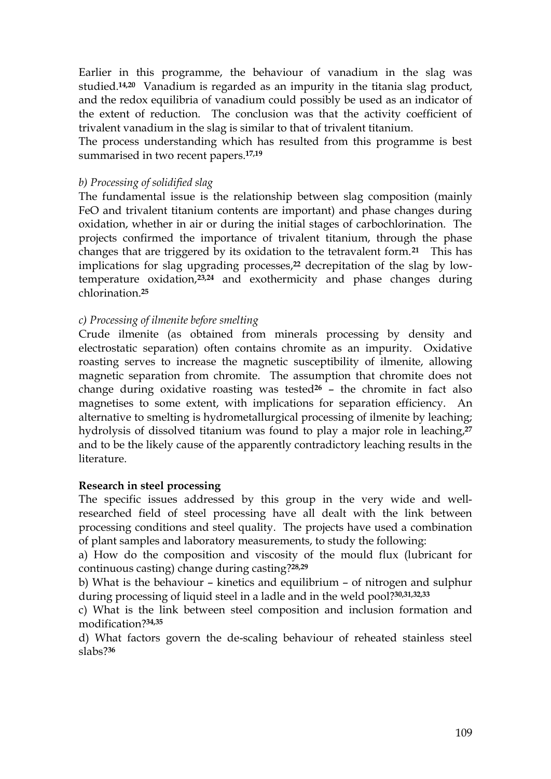Earlier in this programme, the behaviour of vanadium in the slag was studied.**14,20** Vanadium is regarded as an impurity in the titania slag product, and the redox equilibria of vanadium could possibly be used as an indicator of the extent of reduction. The conclusion was that the activity coefficient of trivalent vanadium in the slag is similar to that of trivalent titanium.

The process understanding which has resulted from this programme is best summarised in two recent papers.**17,19**

## *b) Processing of solidified slag*

The fundamental issue is the relationship between slag composition (mainly FeO and trivalent titanium contents are important) and phase changes during oxidation, whether in air or during the initial stages of carbochlorination. The projects confirmed the importance of trivalent titanium, through the phase changes that are triggered by its oxidation to the tetravalent form.**21** This has implications for slag upgrading processes,**<sup>22</sup>** decrepitation of the slag by lowtemperature oxidation,**23,24** and exothermicity and phase changes during chlorination.**<sup>25</sup>**

## *c) Processing of ilmenite before smelting*

Crude ilmenite (as obtained from minerals processing by density and electrostatic separation) often contains chromite as an impurity. Oxidative roasting serves to increase the magnetic susceptibility of ilmenite, allowing magnetic separation from chromite. The assumption that chromite does not change during oxidative roasting was tested**<sup>26</sup>** – the chromite in fact also magnetises to some extent, with implications for separation efficiency. An alternative to smelting is hydrometallurgical processing of ilmenite by leaching; hydrolysis of dissolved titanium was found to play a major role in leaching,**<sup>27</sup>** and to be the likely cause of the apparently contradictory leaching results in the literature.

## **Research in steel processing**

The specific issues addressed by this group in the very wide and wellresearched field of steel processing have all dealt with the link between processing conditions and steel quality. The projects have used a combination of plant samples and laboratory measurements, to study the following:

a) How do the composition and viscosity of the mould flux (lubricant for continuous casting) change during casting?**28,29**

b) What is the behaviour – kinetics and equilibrium – of nitrogen and sulphur during processing of liquid steel in a ladle and in the weld pool?**30,31,32,33**

c) What is the link between steel composition and inclusion formation and modification?**34,35**

d) What factors govern the de-scaling behaviour of reheated stainless steel slabs?**36**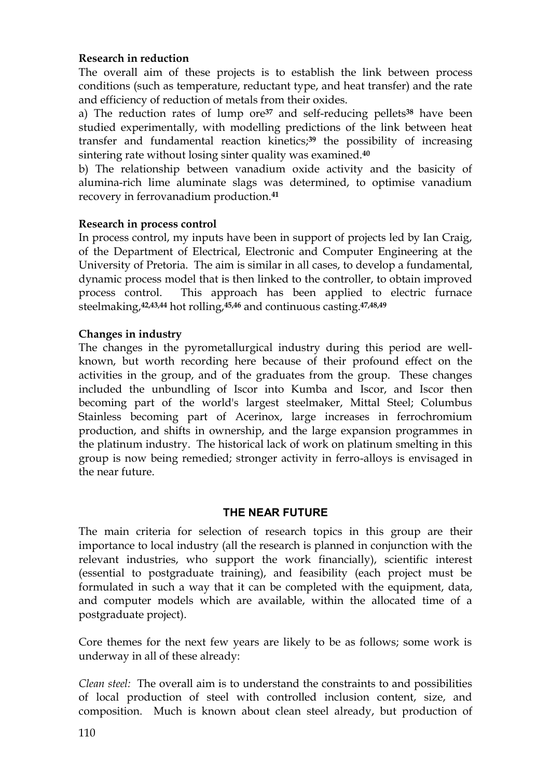# **Research in reduction**

The overall aim of these projects is to establish the link between process conditions (such as temperature, reductant type, and heat transfer) and the rate and efficiency of reduction of metals from their oxides.

a) The reduction rates of lump ore**<sup>37</sup>** and self-reducing pellets**<sup>38</sup>** have been studied experimentally, with modelling predictions of the link between heat transfer and fundamental reaction kinetics;**<sup>39</sup>** the possibility of increasing sintering rate without losing sinter quality was examined.**<sup>40</sup>**

b) The relationship between vanadium oxide activity and the basicity of alumina-rich lime aluminate slags was determined, to optimise vanadium recovery in ferrovanadium production.**<sup>41</sup>**

## **Research in process control**

In process control, my inputs have been in support of projects led by Ian Craig, of the Department of Electrical, Electronic and Computer Engineering at the University of Pretoria. The aim is similar in all cases, to develop a fundamental, dynamic process model that is then linked to the controller, to obtain improved process control. This approach has been applied to electric furnace steelmaking,**42,43,44** hot rolling,**45,46** and continuous casting.**47,48,49**

## **Changes in industry**

The changes in the pyrometallurgical industry during this period are wellknown, but worth recording here because of their profound effect on the activities in the group, and of the graduates from the group. These changes included the unbundling of Iscor into Kumba and Iscor, and Iscor then becoming part of the world's largest steelmaker, Mittal Steel; Columbus Stainless becoming part of Acerinox, large increases in ferrochromium production, and shifts in ownership, and the large expansion programmes in the platinum industry. The historical lack of work on platinum smelting in this group is now being remedied; stronger activity in ferro-alloys is envisaged in the near future.

## **THE NEAR FUTURE**

The main criteria for selection of research topics in this group are their importance to local industry (all the research is planned in conjunction with the relevant industries, who support the work financially), scientific interest (essential to postgraduate training), and feasibility (each project must be formulated in such a way that it can be completed with the equipment, data, and computer models which are available, within the allocated time of a postgraduate project).

Core themes for the next few years are likely to be as follows; some work is underway in all of these already:

*Clean steel:* The overall aim is to understand the constraints to and possibilities of local production of steel with controlled inclusion content, size, and composition. Much is known about clean steel already, but production of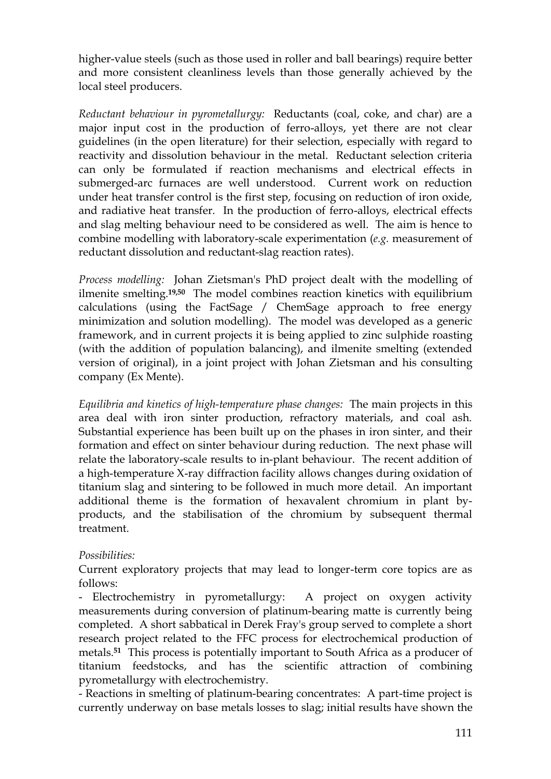higher-value steels (such as those used in roller and ball bearings) require better and more consistent cleanliness levels than those generally achieved by the local steel producers.

*Reductant behaviour in pyrometallurgy:* Reductants (coal, coke, and char) are a major input cost in the production of ferro-alloys, yet there are not clear guidelines (in the open literature) for their selection, especially with regard to reactivity and dissolution behaviour in the metal. Reductant selection criteria can only be formulated if reaction mechanisms and electrical effects in submerged-arc furnaces are well understood. Current work on reduction under heat transfer control is the first step, focusing on reduction of iron oxide, and radiative heat transfer. In the production of ferro-alloys, electrical effects and slag melting behaviour need to be considered as well. The aim is hence to combine modelling with laboratory-scale experimentation (*e.g.* measurement of reductant dissolution and reductant-slag reaction rates).

*Process modelling:* Johan Zietsman's PhD project dealt with the modelling of ilmenite smelting.**19,50** The model combines reaction kinetics with equilibrium calculations (using the FactSage / ChemSage approach to free energy minimization and solution modelling). The model was developed as a generic framework, and in current projects it is being applied to zinc sulphide roasting (with the addition of population balancing), and ilmenite smelting (extended version of original), in a joint project with Johan Zietsman and his consulting company (Ex Mente).

*Equilibria and kinetics of high-temperature phase changes:* The main projects in this area deal with iron sinter production, refractory materials, and coal ash. Substantial experience has been built up on the phases in iron sinter, and their formation and effect on sinter behaviour during reduction. The next phase will relate the laboratory-scale results to in-plant behaviour. The recent addition of a high-temperature X-ray diffraction facility allows changes during oxidation of titanium slag and sintering to be followed in much more detail. An important additional theme is the formation of hexavalent chromium in plant byproducts, and the stabilisation of the chromium by subsequent thermal treatment.

# *Possibilities:*

Current exploratory projects that may lead to longer-term core topics are as follows:

- Electrochemistry in pyrometallurgy: A project on oxygen activity measurements during conversion of platinum-bearing matte is currently being completed. A short sabbatical in Derek Fray's group served to complete a short research project related to the FFC process for electrochemical production of metals.**51** This process is potentially important to South Africa as a producer of titanium feedstocks, and has the scientific attraction of combining pyrometallurgy with electrochemistry.

- Reactions in smelting of platinum-bearing concentrates: A part-time project is currently underway on base metals losses to slag; initial results have shown the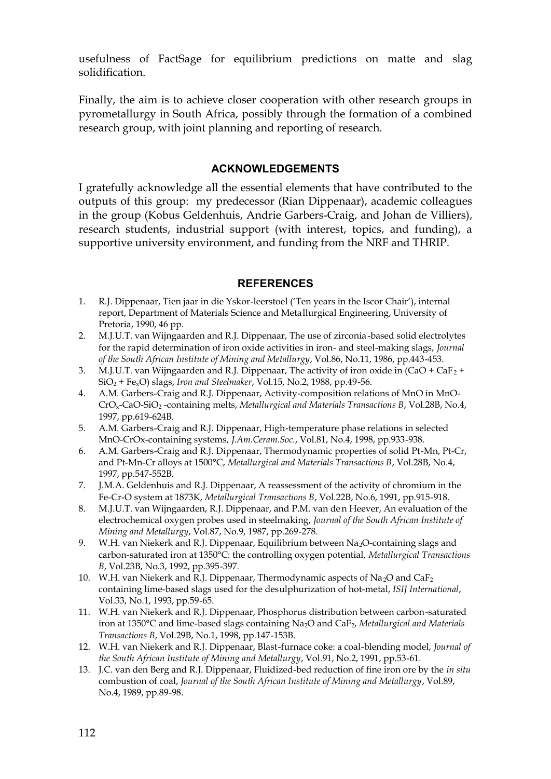usefulness of FactSage for equilibrium predictions on matte and slag solidification.

Finally, the aim is to achieve closer cooperation with other research groups in pyrometallurgy in South Africa, possibly through the formation of a combined research group, with joint planning and reporting of research.

## **ACKNOWLEDGEMENTS**

I gratefully acknowledge all the essential elements that have contributed to the outputs of this group: my predecessor (Rian Dippenaar), academic colleagues in the group (Kobus Geldenhuis, Andrie Garbers-Craig, and Johan de Villiers), research students, industrial support (with interest, topics, and funding), a supportive university environment, and funding from the NRF and THRIP.

#### **REFERENCES**

- 1. R.J. Dippenaar, Tien jaar in die Yskor-leerstoel ('Ten years in the Iscor Chair'), internal report, Department of Materials Science and Metallurgical Engineering, University of Pretoria, 1990, 46 pp.
- 2. M.J.U.T. van Wijngaarden and R.J. Dippenaar, The use of zirconia-based solid electrolytes for the rapid determination of iron oxide activities in iron- and steel-making slags, *Journal of the South African Institute of Mining and Metallurgy*, Vol.86, No.11, 1986, pp.443-453.
- 3. M.J.U.T. van Wijngaarden and R.J. Dippenaar, The activity of iron oxide in  $(CaO + CaF<sub>2</sub> +$ SiO2 + FexO) slags, *Iron and Steelmaker*, Vol.15, No.2, 1988, pp.49-56.
- 4. A.M. Garbers-Craig and R.J. Dippenaar, Activity-composition relations of MnO in MnO-CrOx-CaO-SiO<sup>2</sup> -containing melts, *Metallurgical and Materials Transactions B*, Vol.28B, No.4, 1997, pp.619-624B.
- 5. A.M. Garbers-Craig and R.J. Dippenaar, High-temperature phase relations in selected MnO-CrOx-containing systems, *J.Am.Ceram.Soc.*, Vol.81, No.4, 1998, pp.933-938.
- 6. A.M. Garbers-Craig and R.J. Dippenaar, Thermodynamic properties of solid Pt-Mn, Pt-Cr, and Pt-Mn-Cr alloys at 1500°C, *Metallurgical and Materials Transactions B*, Vol.28B, No.4, 1997, pp.547-552B.
- 7. J.M.A. Geldenhuis and R.J. Dippenaar, A reassessment of the activity of chromium in the Fe-Cr-O system at 1873K, *Metallurgical Transactions B*, Vol.22B, No.6, 1991, pp.915-918.
- 8. M.J.U.T. van Wijngaarden, R.J. Dippenaar, and P.M. van den Heever, An evaluation of the electrochemical oxygen probes used in steelmaking, *Journal of the South African Institute of Mining and Metallurgy*, Vol.87, No.9, 1987, pp.269-278.
- 9. W.H. van Niekerk and R.J. Dippenaar, Equilibrium between Na<sub>2</sub>O-containing slags and carbon-saturated iron at 1350°C: the controlling oxygen potential, *Metallurgical Transactions B*, Vol.23B, No.3, 1992, pp.395-397.
- 10. W.H. van Niekerk and R.J. Dippenaar, Thermodynamic aspects of Na<sub>2</sub>O and CaF<sub>2</sub> containing lime-based slags used for the desulphurization of hot-metal, *ISIJ International*, Vol.33, No.1, 1993, pp.59-65.
- 11. W.H. van Niekerk and R.J. Dippenaar, Phosphorus distribution between carbon-saturated iron at 1350°C and lime-based slags containing Na2O and CaF2, *Metallurgical and Materials Transactions B*, Vol.29B, No.1, 1998, pp.147-153B.
- 12. W.H. van Niekerk and R.J. Dippenaar, Blast-furnace coke: a coal-blending model, *Journal of the South African Institute of Mining and Metallurgy*, Vol.91, No.2, 1991, pp.53-61.
- 13. J.C. van den Berg and R.J. Dippenaar, Fluidized-bed reduction of fine iron ore by the *in situ* combustion of coal, *Journal of the South African Institute of Mining and Metallurgy*, Vol.89, No.4, 1989, pp.89-98.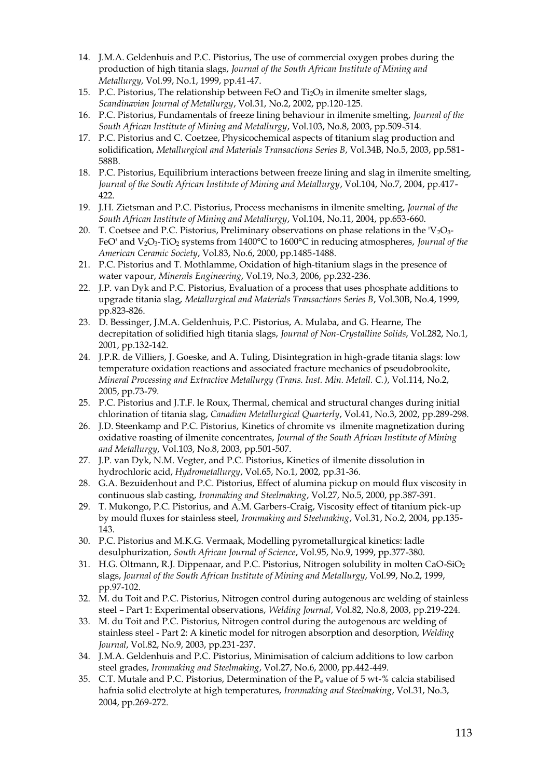- 14. J.M.A. Geldenhuis and P.C. Pistorius, The use of commercial oxygen probes during the production of high titania slags, *Journal of the South African Institute of Mining and Metallurgy*, Vol.99, No.1, 1999, pp.41-47.
- 15. P.C. Pistorius, The relationship between FeO and  $Ti<sub>2</sub>O<sub>3</sub>$  in ilmenite smelter slags, *Scandinavian Journal of Metallurgy*, Vol.31, No.2, 2002, pp.120-125.
- 16. P.C. Pistorius, Fundamentals of freeze lining behaviour in ilmenite smelting, *Journal of the South African Institute of Mining and Metallurgy*, Vol.103, No.8, 2003, pp.509-514.
- 17. P.C. Pistorius and C. Coetzee, Physicochemical aspects of titanium slag production and solidification, *Metallurgical and Materials Transactions Series B*, Vol.34B, No.5, 2003, pp.581- 588B.
- 18. P.C. Pistorius, Equilibrium interactions between freeze lining and slag in ilmenite smelting, *Journal of the South African Institute of Mining and Metallurgy*, Vol.104, No.7, 2004, pp.417- 422.
- 19. J.H. Zietsman and P.C. Pistorius, Process mechanisms in ilmenite smelting, *Journal of the South African Institute of Mining and Metallurgy*, Vol.104, No.11, 2004, pp.653-660.
- 20. T. Coetsee and P.C. Pistorius, Preliminary observations on phase relations in the  $V_2O_3$ -FeO' and V2O3-TiO<sup>2</sup> systems from 1400°C to 1600°C in reducing atmospheres, *Journal of the American Ceramic Society*, Vol.83, No.6, 2000, pp.1485-1488.
- 21. P.C. Pistorius and T. Mothlamme, Oxidation of high-titanium slags in the presence of water vapour, *Minerals Engineering*, Vol.19, No.3, 2006, pp.232-236.
- 22. J.P. van Dyk and P.C. Pistorius, Evaluation of a process that uses phosphate additions to upgrade titania slag, *Metallurgical and Materials Transactions Series B*, Vol.30B, No.4, 1999, pp.823-826.
- 23. D. Bessinger, J.M.A. Geldenhuis, P.C. Pistorius, A. Mulaba, and G. Hearne, The decrepitation of solidified high titania slags, *Journal of Non-Crystalline Solids*, Vol.282, No.1, 2001, pp.132-142.
- 24. J.P.R. de Villiers, J. Goeske, and A. Tuling, Disintegration in high-grade titania slags: low temperature oxidation reactions and associated fracture mechanics of pseudobrookite, *Mineral Processing and Extractive Metallurgy (Trans. Inst. Min. Metall. C.)*, Vol.114, No.2, 2005, pp.73-79.
- 25. P.C. Pistorius and J.T.F. le Roux, Thermal, chemical and structural changes during initial chlorination of titania slag, *Canadian Metallurgical Quarterly*, Vol.41, No.3, 2002, pp.289-298.
- 26. J.D. Steenkamp and P.C. Pistorius, Kinetics of chromite vs ilmenite magnetization during oxidative roasting of ilmenite concentrates, *Journal of the South African Institute of Mining and Metallurgy*, Vol.103, No.8, 2003, pp.501-507.
- 27. J.P. van Dyk, N.M. Vegter, and P.C. Pistorius, Kinetics of ilmenite dissolution in hydrochloric acid, *Hydrometallurgy*, Vol.65, No.1, 2002, pp.31-36.
- 28. G.A. Bezuidenhout and P.C. Pistorius, Effect of alumina pickup on mould flux viscosity in continuous slab casting, *Ironmaking and Steelmaking*, Vol.27, No.5, 2000, pp.387-391.
- 29. T. Mukongo, P.C. Pistorius, and A.M. Garbers-Craig, Viscosity effect of titanium pick-up by mould fluxes for stainless steel, *Ironmaking and Steelmaking*, Vol.31, No.2, 2004, pp.135- 143.
- 30. P.C. Pistorius and M.K.G. Vermaak, Modelling pyrometallurgical kinetics: ladle desulphurization, *South African Journal of Science*, Vol.95, No.9, 1999, pp.377-380.
- 31. H.G. Oltmann, R.J. Dippenaar, and P.C. Pistorius, Nitrogen solubility in molten CaO-SiO<sup>2</sup> slags, *Journal of the South African Institute of Mining and Metallurgy*, Vol.99, No.2, 1999, pp.97-102.
- 32. M. du Toit and P.C. Pistorius, Nitrogen control during autogenous arc welding of stainless steel – Part 1: Experimental observations, *Welding Journal*, Vol.82, No.8, 2003, pp.219-224.
- 33. M. du Toit and P.C. Pistorius, Nitrogen control during the autogenous arc welding of stainless steel - Part 2: A kinetic model for nitrogen absorption and desorption, *Welding Journal*, Vol.82, No.9, 2003, pp.231-237.
- 34. J.M.A. Geldenhuis and P.C. Pistorius, Minimisation of calcium additions to low carbon steel grades, *Ironmaking and Steelmaking*, Vol.27, No.6, 2000, pp.442-449.
- 35. C.T. Mutale and P.C. Pistorius, Determination of the  $P_e$  value of 5 wt-% calcia stabilised hafnia solid electrolyte at high temperatures, *Ironmaking and Steelmaking*, Vol.31, No.3, 2004, pp.269-272.